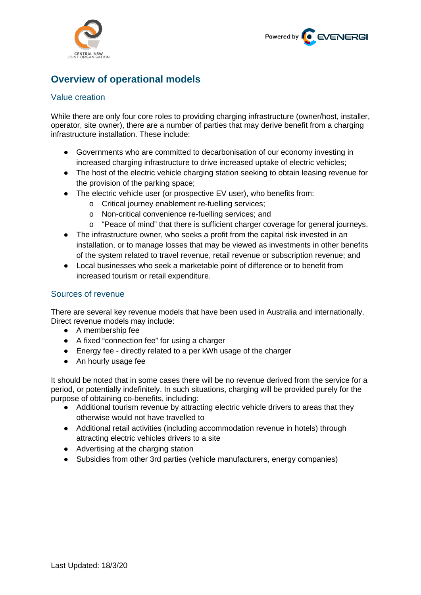



# **Overview of operational models**

## Value creation

While there are only four core roles to providing charging infrastructure (owner/host, installer, operator, site owner), there are a number of parties that may derive benefit from a charging infrastructure installation. These include:

- Governments who are committed to decarbonisation of our economy investing in increased charging infrastructure to drive increased uptake of electric vehicles;
- The host of the electric vehicle charging station seeking to obtain leasing revenue for the provision of the parking space;
- The electric vehicle user (or prospective EV user), who benefits from:
	- o Critical journey enablement re-fuelling services;
	- o Non-critical convenience re-fuelling services; and
	- $\circ$  "Peace of mind" that there is sufficient charger coverage for general journeys.
- The infrastructure owner, who seeks a profit from the capital risk invested in an installation, or to manage losses that may be viewed as investments in other benefits of the system related to travel revenue, retail revenue or subscription revenue; and
- Local businesses who seek a marketable point of difference or to benefit from increased tourism or retail expenditure.

## Sources of revenue

There are several key revenue models that have been used in Australia and internationally. Direct revenue models may include:

- A membership fee
- A fixed "connection fee" for using a charger
- Energy fee directly related to a per kWh usage of the charger
- An hourly usage fee

It should be noted that in some cases there will be no revenue derived from the service for a period, or potentially indefinitely. In such situations, charging will be provided purely for the purpose of obtaining co-benefits, including:

- Additional tourism revenue by attracting electric vehicle drivers to areas that they otherwise would not have travelled to
- Additional retail activities (including accommodation revenue in hotels) through attracting electric vehicles drivers to a site
- Advertising at the charging station
- Subsidies from other 3rd parties (vehicle manufacturers, energy companies)